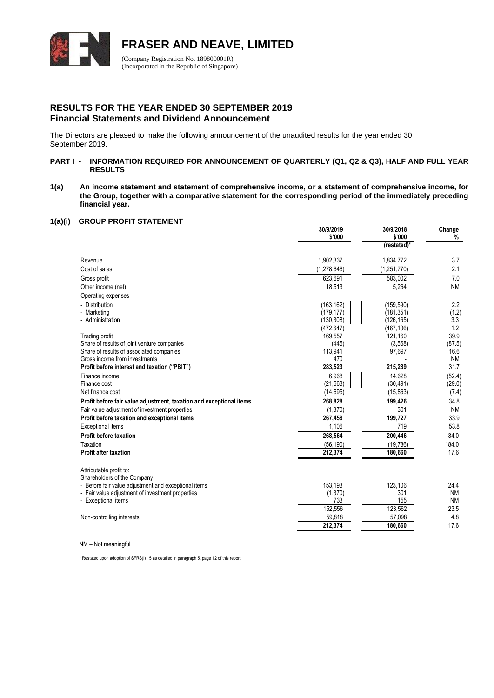

# **RESULTS FOR THE YEAR ENDED 30 SEPTEMBER 2019 Financial Statements and Dividend Announcement**

The Directors are pleased to make the following announcement of the unaudited results for the year ended 30 September 2019.

## **PART I - INFORMATION REQUIRED FOR ANNOUNCEMENT OF QUARTERLY (Q1, Q2 & Q3), HALF AND FULL YEAR RESULTS**

**1(a) An income statement and statement of comprehensive income, or a statement of comprehensive income, for the Group, together with a comparative statement for the corresponding period of the immediately preceding financial year.**

#### **1(a)(i) GROUP PROFIT STATEMENT**

|                                                                                                          | 30/9/2019<br>\$'000 | 30/9/2018<br>\$'000 | Change<br>%       |
|----------------------------------------------------------------------------------------------------------|---------------------|---------------------|-------------------|
|                                                                                                          |                     | (restated)*         |                   |
| Revenue                                                                                                  | 1,902,337           | 1,834,772           | 3.7               |
| Cost of sales                                                                                            | (1, 278, 646)       | (1,251,770)         | 2.1               |
| Gross profit                                                                                             | 623,691             | 583,002             | 7.0               |
| Other income (net)                                                                                       | 18,513              | 5,264               | <b>NM</b>         |
| Operating expenses                                                                                       |                     |                     |                   |
| - Distribution                                                                                           | (163, 162)          | (159, 590)          | 2.2               |
| - Marketing                                                                                              | (179, 177)          | (181, 351)          | (1.2)             |
| - Administration                                                                                         | (130, 308)          | (126, 165)          | 3.3               |
|                                                                                                          | (472, 647)          | (467, 106)          | 1.2               |
| Trading profit                                                                                           | 169,557             | 121,160             | 39.9              |
| Share of results of joint venture companies                                                              | (445)               | (3,568)             | (87.5)            |
| Share of results of associated companies<br>Gross income from investments                                | 113,941             | 97,697              | 16.6              |
|                                                                                                          | 470<br>283,523      | 215,289             | <b>NM</b><br>31.7 |
| Profit before interest and taxation ("PBIT")                                                             |                     |                     |                   |
| Finance income<br>Finance cost                                                                           | 6,968<br>(21,663)   | 14,628<br>(30, 491) | (52.4)<br>(29.0)  |
| Net finance cost                                                                                         | (14, 695)           | (15, 863)           | (7.4)             |
|                                                                                                          | 268,828             |                     | 34.8              |
| Profit before fair value adjustment, taxation and exceptional items                                      |                     | 199,426<br>301      | <b>NM</b>         |
| Fair value adjustment of investment properties                                                           | (1,370)<br>267,458  |                     | 33.9              |
| Profit before taxation and exceptional items                                                             |                     | 199,727<br>719      |                   |
| <b>Exceptional items</b>                                                                                 | 1,106               |                     | 53.8              |
| <b>Profit before taxation</b>                                                                            | 268,564             | 200,446             | 34.0              |
| Taxation                                                                                                 | (56, 190)           | (19, 786)           | 184.0             |
| <b>Profit after taxation</b>                                                                             | 212,374             | 180,660             | 17.6              |
| Attributable profit to:                                                                                  |                     |                     |                   |
| Shareholders of the Company                                                                              |                     |                     |                   |
| - Before fair value adjustment and exceptional items<br>- Fair value adjustment of investment properties | 153,193<br>(1, 370) | 123,106<br>301      | 24.4<br><b>NM</b> |
| - Exceptional items                                                                                      | 733                 | 155                 | <b>NM</b>         |
|                                                                                                          | 152,556             | 123,562             | 23.5              |
| Non-controlling interests                                                                                | 59,818              | 57,098              | 4.8               |
|                                                                                                          | 212,374             | 180,660             | 17.6              |
|                                                                                                          |                     |                     |                   |

NM – Not meaningful

\* Restated upon adoption of SFRS(I) 15 as detailed in paragraph 5, page 12 of this report.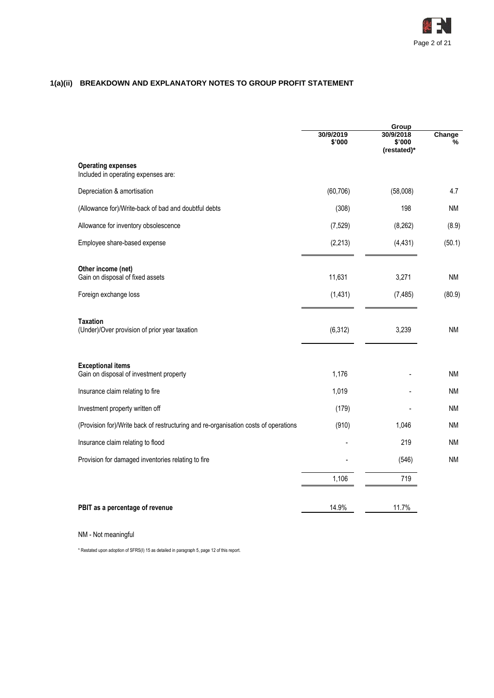

# **1(a)(ii) BREAKDOWN AND EXPLANATORY NOTES TO GROUP PROFIT STATEMENT**

|                                                                                     | 30/9/2019<br>\$'000 | Group<br>30/9/2018<br>\$'000<br>(restated)* | Change<br>% |
|-------------------------------------------------------------------------------------|---------------------|---------------------------------------------|-------------|
| <b>Operating expenses</b><br>Included in operating expenses are:                    |                     |                                             |             |
| Depreciation & amortisation                                                         | (60, 706)           | (58,008)                                    | 4.7         |
| (Allowance for)/Write-back of bad and doubtful debts                                | (308)               | 198                                         | ΝM          |
| Allowance for inventory obsolescence                                                | (7, 529)            | (8, 262)                                    | (8.9)       |
| Employee share-based expense                                                        | (2, 213)            | (4, 431)                                    | (50.1)      |
| Other income (net)<br>Gain on disposal of fixed assets                              | 11,631              | 3,271                                       | ΝM          |
| Foreign exchange loss                                                               | (1, 431)            | (7, 485)                                    | (80.9)      |
| <b>Taxation</b><br>(Under)/Over provision of prior year taxation                    | (6, 312)            | 3,239                                       | ΝM          |
| <b>Exceptional items</b><br>Gain on disposal of investment property                 | 1,176               |                                             | ΝM          |
| Insurance claim relating to fire                                                    | 1,019               |                                             | ΝM          |
| Investment property written off                                                     | (179)               |                                             | ΝM          |
| (Provision for)/Write back of restructuring and re-organisation costs of operations | (910)               | 1,046                                       | ΝM          |
| Insurance claim relating to flood                                                   |                     | 219                                         | ΝM          |
| Provision for damaged inventories relating to fire                                  |                     | (546)                                       | <b>NM</b>   |
|                                                                                     | 1,106               | 719                                         |             |
| PBIT as a percentage of revenue                                                     | 14.9%               | 11.7%                                       |             |

# NM - Not meaningful

\* Restated upon adoption of SFRS(I) 15 as detailed in paragraph 5, page 12 of this report.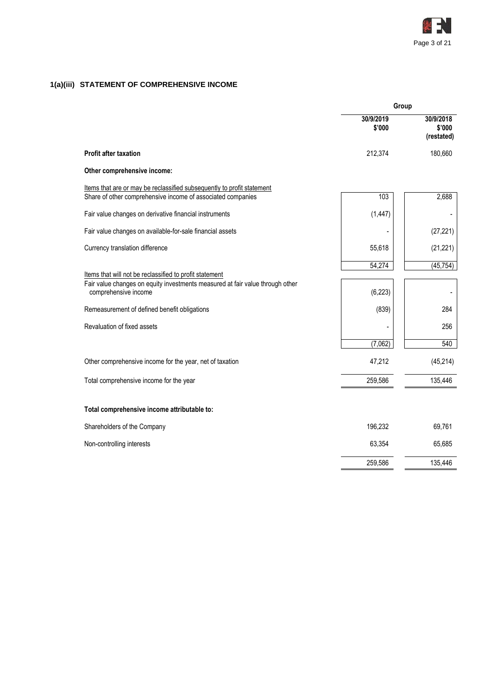

# **1(a)(iii) STATEMENT OF COMPREHENSIVE INCOME**

|                                                                                                                                                                  | Group               |                                   |  |
|------------------------------------------------------------------------------------------------------------------------------------------------------------------|---------------------|-----------------------------------|--|
|                                                                                                                                                                  | 30/9/2019<br>\$'000 | 30/9/2018<br>\$'000<br>(restated) |  |
| <b>Profit after taxation</b>                                                                                                                                     | 212,374             | 180,660                           |  |
| Other comprehensive income:                                                                                                                                      |                     |                                   |  |
| Items that are or may be reclassified subsequently to profit statement<br>Share of other comprehensive income of associated companies                            | 103                 | 2,688                             |  |
| Fair value changes on derivative financial instruments                                                                                                           | (1, 447)            | $\overline{\phantom{a}}$          |  |
| Fair value changes on available-for-sale financial assets                                                                                                        |                     | (27, 221)                         |  |
| Currency translation difference                                                                                                                                  | 55,618              | (21, 221)                         |  |
| Items that will not be reclassified to profit statement<br>Fair value changes on equity investments measured at fair value through other<br>comprehensive income | 54,274<br>(6, 223)  | (45, 754)                         |  |
| Remeasurement of defined benefit obligations                                                                                                                     | (839)               | 284                               |  |
| Revaluation of fixed assets                                                                                                                                      |                     | 256                               |  |
|                                                                                                                                                                  | (7,062)             | 540                               |  |
| Other comprehensive income for the year, net of taxation                                                                                                         | 47,212              | (45, 214)                         |  |
| Total comprehensive income for the year                                                                                                                          | 259,586             | 135,446                           |  |
| Total comprehensive income attributable to:                                                                                                                      |                     |                                   |  |
| Shareholders of the Company                                                                                                                                      | 196,232             | 69,761                            |  |
| Non-controlling interests                                                                                                                                        | 63,354              | 65,685                            |  |
|                                                                                                                                                                  | 259,586             | 135,446                           |  |
|                                                                                                                                                                  |                     |                                   |  |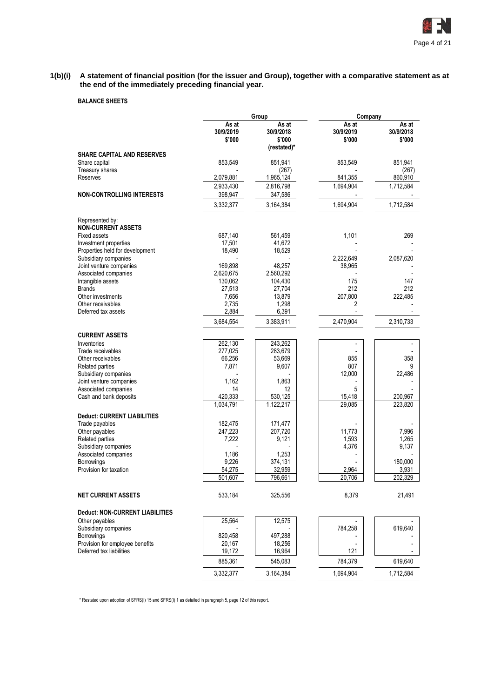

#### **1(b)(i) A statement of financial position (for the issuer and Group), together with a comparative statement as at the end of the immediately preceding financial year.**

# **BALANCE SHEETS**

|                                                 |                              | Group                                       | Company                      |                              |  |
|-------------------------------------------------|------------------------------|---------------------------------------------|------------------------------|------------------------------|--|
|                                                 | As at<br>30/9/2019<br>\$'000 | As at<br>30/9/2018<br>\$'000<br>(restated)* | As at<br>30/9/2019<br>\$'000 | As at<br>30/9/2018<br>\$'000 |  |
| <b>SHARE CAPITAL AND RESERVES</b>               |                              |                                             |                              |                              |  |
| Share capital                                   | 853,549                      | 851,941                                     | 853,549                      | 851,941                      |  |
| Treasury shares                                 |                              | (267)                                       |                              | (267)                        |  |
| Reserves                                        | 2,079,881                    | 1,965,124                                   | 841,355                      | 860,910                      |  |
|                                                 | 2,933,430                    | 2,816,798                                   | 1,694,904                    | 1,712,584                    |  |
| <b>NON-CONTROLLING INTERESTS</b>                | 398,947                      | 347,586                                     |                              |                              |  |
|                                                 | 3,332,377                    | 3,164,384                                   | 1,694,904                    | 1,712,584                    |  |
| Represented by:<br><b>NON-CURRENT ASSETS</b>    |                              |                                             |                              |                              |  |
| <b>Fixed assets</b>                             | 687,140                      | 561,459                                     | 1,101                        | 269                          |  |
| Investment properties                           | 17,501                       | 41,672                                      |                              |                              |  |
| Properties held for development                 | 18,490                       | 18,529                                      |                              |                              |  |
| Subsidiary companies                            | 169,898                      |                                             | 2,222,649                    | 2,087,620                    |  |
| Joint venture companies<br>Associated companies | 2,620,675                    | 48,257<br>2,560,292                         | 38,965                       |                              |  |
| Intangible assets                               | 130,062                      | 104,430                                     | 175                          | 147                          |  |
| <b>Brands</b>                                   | 27,513                       | 27,704                                      | 212                          | 212                          |  |
| Other investments                               | 7,656                        | 13,879                                      | 207,800                      | 222,485                      |  |
| Other receivables                               | 2,735                        | 1,298                                       | 2                            |                              |  |
| Deferred tax assets                             | 2,884                        | 6,391                                       |                              |                              |  |
|                                                 | 3,684,554                    | 3,383,911                                   | 2,470,904                    | 2,310,733                    |  |
| <b>CURRENT ASSETS</b>                           |                              |                                             |                              |                              |  |
| Inventories                                     | 262,130                      | 243,262                                     |                              |                              |  |
| Trade receivables                               | 277.025                      | 283,679                                     |                              |                              |  |
| Other receivables                               | 66,256                       | 53,669                                      | 855                          | 358                          |  |
| Related parties                                 | 7,871                        | 9,607                                       | 807                          | 9                            |  |
| Subsidiary companies                            |                              |                                             | 12,000                       | 22,486                       |  |
| Joint venture companies                         | 1,162                        | 1,863                                       |                              |                              |  |
| Associated companies                            | 14                           | 12                                          | 5                            |                              |  |
| Cash and bank deposits                          | 420,333                      | 530,125                                     | 15,418                       | 200,967                      |  |
|                                                 | 1,034,791                    | 1,122,217                                   | 29,085                       | 223,820                      |  |
| <b>Deduct: CURRENT LIABILITIES</b>              |                              |                                             |                              |                              |  |
| Trade payables                                  | 182,475                      | 171,477                                     |                              |                              |  |
| Other payables                                  | 247,223                      | 207,720                                     | 11,773                       | 7,996                        |  |
| Related parties                                 | 7,222                        | 9,121                                       | 1,593                        | 1,265<br>9,137               |  |
| Subsidiary companies<br>Associated companies    | 1,186                        | 1,253                                       | 4,376                        |                              |  |
| <b>Borrowings</b>                               | 9,226                        | 374,131                                     |                              | 180.000                      |  |
| Provision for taxation                          | 54,275                       | 32,959                                      | 2,964                        | 3,931                        |  |
|                                                 | 501,607                      | 796,661                                     | 20,706                       | 202,329                      |  |
| <b>NET CURRENT ASSETS</b>                       | 533,184                      | 325,556                                     | 8,379                        | 21,491                       |  |
| Deduct: NON-CURRENT LIABILITIES                 |                              |                                             |                              |                              |  |
| Other payables                                  | 25,564                       | 12,575                                      |                              |                              |  |
| Subsidiary companies                            |                              |                                             | 784,258                      | 619,640                      |  |
| Borrowings                                      | 820,458                      | 497,288                                     |                              |                              |  |
| Provision for employee benefits                 | 20,167                       | 18,256                                      |                              |                              |  |
| Deferred tax liabilities                        | 19,172                       | 16,964                                      | 121                          |                              |  |
|                                                 | 885,361                      | 545,083                                     | 784,379                      | 619,640                      |  |
|                                                 | 3,332,377                    | 3,164,384                                   | 1,694,904                    | 1,712,584                    |  |

\* Restated upon adoption of SFRS(I) 15 and SFRS(I) 1 as detailed in paragraph 5, page 12 of this report.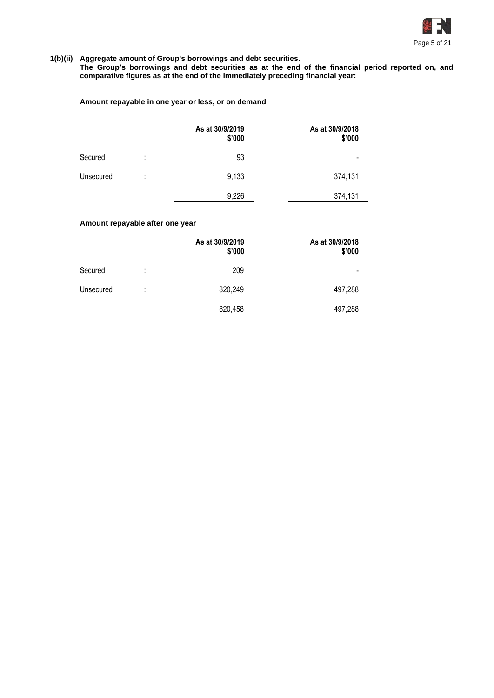

# **1(b)(ii) Aggregate amount of Group's borrowings and debt securities.**

**The Group's borrowings and debt securities as at the end of the financial period reported on, and comparative figures as at the end of the immediately preceding financial year:**

# **Amount repayable in one year or less, or on demand**

|           |        | As at 30/9/2019<br>\$'000 | As at 30/9/2018<br>\$'000 |
|-----------|--------|---------------------------|---------------------------|
| Secured   | ٠<br>٠ | 93                        |                           |
| Unsecured | t      | 9,133                     | 374,131                   |
|           |        | 9,226                     | 374,131                   |

# **Amount repayable after one year**

|           |        | As at 30/9/2019<br>\$'000 | As at 30/9/2018<br>\$'000 |
|-----------|--------|---------------------------|---------------------------|
| Secured   | ٠<br>٠ | 209                       | $\overline{\phantom{0}}$  |
| Unsecured | ٠<br>٠ | 820,249                   | 497,288                   |
|           |        | 820,458                   | 497,288                   |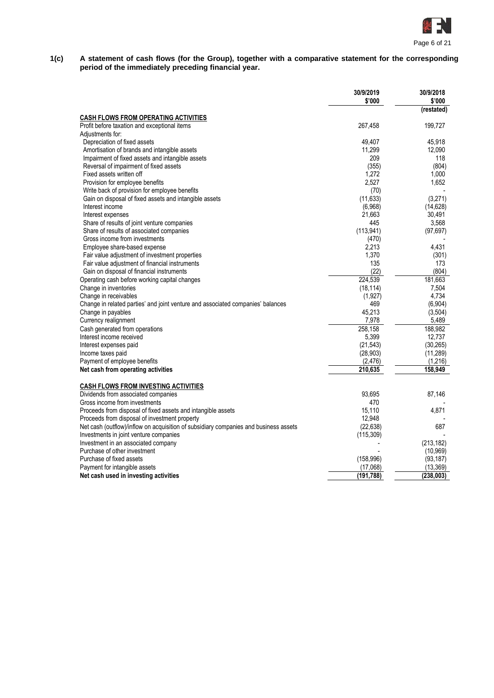

#### **1(c) A statement of cash flows (for the Group), together with a comparative statement for the corresponding period of the immediately preceding financial year.**

|                                                                                      | 30/9/2019<br>\$'000 | 30/9/2018<br>\$'000 |
|--------------------------------------------------------------------------------------|---------------------|---------------------|
| CASH FLOWS FROM OPERATING ACTIVITIES                                                 |                     | (restated)          |
| Profit before taxation and exceptional items                                         | 267,458             | 199,727             |
| Adjustments for:                                                                     |                     |                     |
| Depreciation of fixed assets                                                         | 49,407              | 45,918              |
| Amortisation of brands and intangible assets                                         | 11,299              | 12,090              |
| Impairment of fixed assets and intangible assets                                     | 209                 | 118                 |
| Reversal of impairment of fixed assets                                               | (355)               | (804)               |
| Fixed assets written off                                                             | 1,272               | 1,000               |
| Provision for employee benefits                                                      | 2,527               | 1,652               |
| Write back of provision for employee benefits                                        | (70)                |                     |
| Gain on disposal of fixed assets and intangible assets                               | (11, 633)           | (3,271)             |
| Interest income                                                                      | (6,968)             | (14, 628)           |
| Interest expenses                                                                    | 21,663              | 30,491              |
| Share of results of joint venture companies                                          | 445                 | 3,568               |
| Share of results of associated companies                                             | (113, 941)          | (97, 697)           |
| Gross income from investments                                                        |                     |                     |
| Employee share-based expense                                                         | (470)<br>2,213      | 4,431               |
|                                                                                      | 1,370               |                     |
| Fair value adjustment of investment properties                                       | 135                 | (301)<br>173        |
| Fair value adjustment of financial instruments                                       |                     |                     |
| Gain on disposal of financial instruments                                            | (22)                | (804)               |
| Operating cash before working capital changes                                        | 224,539             | 181.663             |
| Change in inventories                                                                | (18, 114)           | 7,504               |
| Change in receivables                                                                | (1, 927)            | 4,734               |
| Change in related parties' and joint venture and associated companies' balances      | 469                 | (6,904)             |
| Change in payables                                                                   | 45,213              | (3, 504)            |
| Currency realignment                                                                 | 7,978               | 5,489               |
| Cash generated from operations                                                       | 258,158             | 188,982             |
| Interest income received                                                             | 5,399               | 12.737              |
| Interest expenses paid                                                               | (21, 543)           | (30, 265)           |
| Income taxes paid                                                                    | (28, 903)           | (11, 289)           |
| Payment of employee benefits                                                         | (2, 476)            | (1,216)             |
| Net cash from operating activities                                                   | 210,635             | 158,949             |
| <b>CASH FLOWS FROM INVESTING ACTIVITIES</b>                                          |                     |                     |
| Dividends from associated companies                                                  | 93,695              | 87,146              |
| Gross income from investments                                                        | 470                 |                     |
| Proceeds from disposal of fixed assets and intangible assets                         | 15,110              | 4,871               |
| Proceeds from disposal of investment property                                        | 12,948              |                     |
| Net cash (outflow)/inflow on acquisition of subsidiary companies and business assets | (22, 638)           | 687                 |
| Investments in joint venture companies                                               | (115, 309)          |                     |
| Investment in an associated company                                                  |                     | (213, 182)          |
| Purchase of other investment                                                         |                     | (10, 969)           |
| Purchase of fixed assets                                                             | (158, 996)          | (93, 187)           |
| Payment for intangible assets                                                        | (17,068)            | (13, 369)           |
| Net cash used in investing activities                                                | (191, 788)          | (238, 003)          |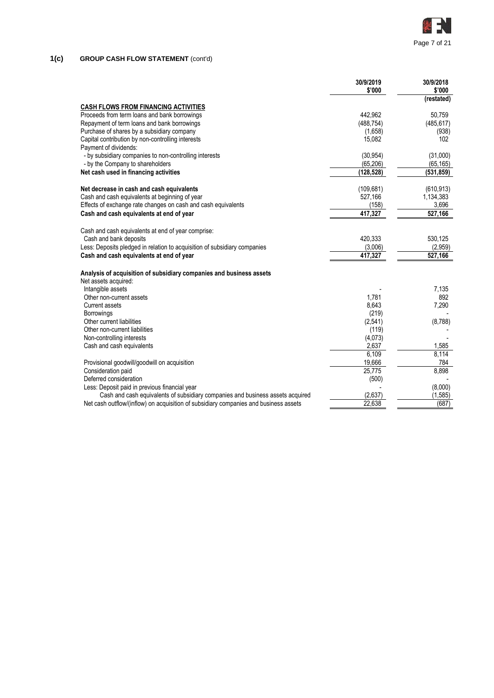

# **1(c) GROUP CASH FLOW STATEMENT** (cont'd)

|                                                                                      | 30/9/2019<br>\$'000 | 30/9/2018<br>\$'000 |
|--------------------------------------------------------------------------------------|---------------------|---------------------|
|                                                                                      |                     | (restated)          |
| <b>CASH FLOWS FROM FINANCING ACTIVITIES</b>                                          |                     |                     |
| Proceeds from term loans and bank borrowings                                         | 442.962             | 50,759              |
| Repayment of term loans and bank borrowings                                          | (488, 754)          | (485, 617)          |
| Purchase of shares by a subsidiary company                                           | (1,658)             | (938)               |
| Capital contribution by non-controlling interests                                    | 15,082              | 102                 |
| Payment of dividends:                                                                |                     |                     |
| - by subsidiary companies to non-controlling interests                               | (30, 954)           | (31,000)            |
| - by the Company to shareholders                                                     | (65, 206)           | (65, 165)           |
| Net cash used in financing activities                                                | (128,528)           | (531, 859)          |
| Net decrease in cash and cash equivalents                                            | (109, 681)          | (610, 913)          |
| Cash and cash equivalents at beginning of year                                       | 527,166             | 1,134,383           |
| Effects of exchange rate changes on cash and cash equivalents                        | (158)               | 3,696               |
| Cash and cash equivalents at end of year                                             | 417,327             | 527,166             |
| Cash and cash equivalents at end of year comprise:                                   |                     |                     |
| Cash and bank deposits                                                               | 420,333             | 530,125             |
| Less: Deposits pledged in relation to acquisition of subsidiary companies            | (3,006)             | (2,959)             |
| Cash and cash equivalents at end of year                                             | 417,327             | 527,166             |
| Analysis of acquisition of subsidiary companies and business assets                  |                     |                     |
| Net assets acquired:                                                                 |                     |                     |
| Intangible assets                                                                    |                     | 7,135               |
| Other non-current assets                                                             | 1.781               | 892                 |
| <b>Current assets</b>                                                                | 8,643               | 7,290               |
| <b>Borrowings</b>                                                                    | (219)               |                     |
| Other current liabilities                                                            | (2, 541)            | (8,788)             |
| Other non-current liabilities                                                        | (119)               |                     |
| Non-controlling interests                                                            | (4,073)             |                     |
| Cash and cash equivalents                                                            | 2,637               | 1,585               |
|                                                                                      | 6,109               | 8,114               |
| Provisional goodwill/goodwill on acquisition                                         | 19,666              | 784                 |
| Consideration paid                                                                   | 25,775              | 8,898               |
| Deferred consideration                                                               | (500)               |                     |
| Less: Deposit paid in previous financial year                                        |                     | (8,000)             |
| Cash and cash equivalents of subsidiary companies and business assets acquired       | (2,637)             | (1, 585)            |
| Net cash outflow/(inflow) on acquisition of subsidiary companies and business assets | 22,638              | (687)               |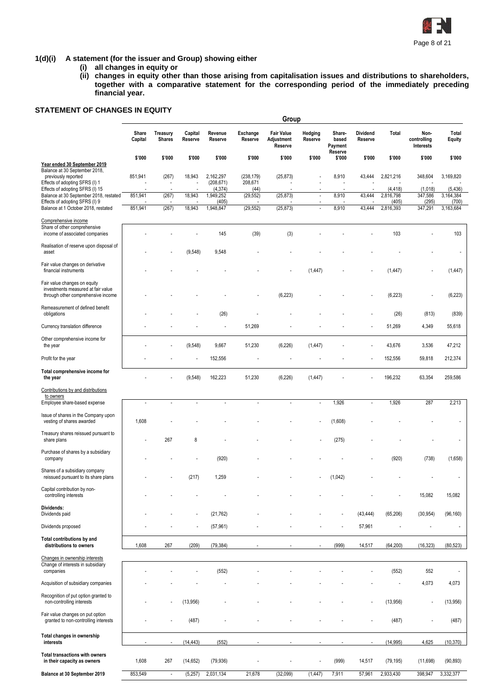

# **1(d)(i) A statement (for the issuer and Group) showing either**

- **(i) all changes in equity or**
- **(ii) changes in equity other than those arising from capitalisation issues and distributions to shareholders, together with a comparative statement for the corresponding period of the immediately preceding financial year.**

# **STATEMENT OF CHANGES IN EQUITY**

|                                                                                                          |                  |                                  |                    |                                     |                               | Group                                      |                          |                            |                          |                       |                                  |                       |
|----------------------------------------------------------------------------------------------------------|------------------|----------------------------------|--------------------|-------------------------------------|-------------------------------|--------------------------------------------|--------------------------|----------------------------|--------------------------|-----------------------|----------------------------------|-----------------------|
|                                                                                                          | Share<br>Capital | <b>Treasury</b><br><b>Shares</b> | Capital<br>Reserve | Revenue<br>Reserve                  | Exchange<br>Reserve           | <b>Fair Value</b><br>Adjustment<br>Reserve | Hedging<br>Reserve       | Share-<br>based<br>Payment | Dividend<br>Reserve      | Total                 | Non-<br>controlling<br>Interests | Total<br>Equity       |
| Year ended 30 September 2019<br>Balance at 30 September 2018,                                            | \$'000           | \$'000                           | \$'000             | \$'000                              | \$'000                        | \$'000                                     | \$'000                   | Reserve<br>\$'000          | \$'000                   | \$'000                | \$'000                           | \$'000                |
| previously reported<br>Effects of adopting SFRS (I) 1<br>Effects of adopting SFRS (I) 15                 | 851,941          | (267)                            | 18,943             | 2,162,297<br>(208, 671)<br>(4, 374) | (238, 179)<br>208,671<br>(44) | (25, 873)                                  |                          | 8,910                      | 43,444                   | 2,821,216<br>(4, 418) | 348,604<br>(1,018)               | 3,169,820<br>(5, 436) |
| Balance at 30 September 2018, restated                                                                   | 851,941          | (267)                            | 18,943             | 1,949,252                           | (29, 552)                     | (25, 873)                                  | $\overline{\phantom{a}}$ | 8,910                      | 43,444                   | 2,816,798             | 347,586                          | 3,164,384             |
| Effects of adopting SFRS (I) 9<br>Balance at 1 October 2018, restated                                    | 851,941          | (267)                            | 18,943             | (405)<br>1,948,847                  | (29, 552)                     | (25, 873)                                  | $\overline{a}$           | 8,910                      | 43,444                   | (405)<br>2,816,393    | (295)<br>347,291                 | (700)<br>3,163,684    |
| Comprehensive income<br>Share of other comprehensive<br>income of associated companies                   |                  |                                  |                    | 145                                 | (39)                          | (3)                                        |                          |                            |                          | 103                   |                                  | 103                   |
| Realisation of reserve upon disposal of<br>asset                                                         |                  |                                  | (9, 548)           | 9,548                               |                               |                                            |                          |                            |                          |                       |                                  |                       |
| Fair value changes on derivative<br>financial instruments                                                |                  |                                  |                    |                                     |                               |                                            | (1, 447)                 |                            |                          | (1, 447)              |                                  | (1, 447)              |
| Fair value changes on equity<br>investments measured at fair value<br>through other comprehensive income |                  |                                  |                    |                                     |                               | (6, 223)                                   |                          |                            |                          | (6, 223)              |                                  | (6, 223)              |
| Remeasurement of defined benefit<br>obligations                                                          |                  |                                  |                    | (26)                                |                               |                                            |                          |                            |                          | (26)                  | (813)                            | (839)                 |
| Currency translation difference                                                                          |                  |                                  |                    | ÷,                                  | 51,269                        |                                            |                          |                            |                          | 51,269                | 4,349                            | 55,618                |
| Other comprehensive income for<br>the year                                                               |                  |                                  | (9, 548)           | 9,667                               | 51,230                        | (6, 226)                                   | (1, 447)                 |                            |                          | 43,676                | 3,536                            | 47,212                |
| Profit for the year                                                                                      |                  |                                  |                    | 152,556                             |                               |                                            |                          |                            |                          | 152,556               | 59,818                           | 212,374               |
| Total comprehensive income for<br>the year                                                               |                  |                                  | (9, 548)           | 162,223                             | 51,230                        | (6, 226)                                   | (1, 447)                 |                            |                          | 196,232               | 63,354                           | 259,586               |
| Contributions by and distributions<br>to owners                                                          |                  |                                  |                    |                                     |                               |                                            |                          |                            |                          |                       |                                  |                       |
| Employee share-based expense                                                                             |                  |                                  |                    | ÷,                                  | ÷,                            |                                            | $\mathbf{r}$             | 1,926                      | $\overline{\phantom{a}}$ | 1,926                 | 287                              | 2,213                 |
| Issue of shares in the Company upon<br>vesting of shares awarded                                         | 1,608            |                                  |                    |                                     |                               |                                            |                          | (1,608)                    |                          |                       |                                  |                       |
| Treasury shares reissued pursuant to<br>share plans                                                      |                  | 267                              | 8                  |                                     |                               |                                            |                          | (275)                      |                          |                       |                                  |                       |
| Purchase of shares by a subsidiary<br>company                                                            |                  |                                  |                    | (920)                               |                               |                                            |                          |                            |                          | (920)                 | (738)                            | (1,658)               |
| Shares of a subsidiary company<br>reissued pursuant to its share plans                                   |                  |                                  | (217)              | 1,259                               |                               |                                            |                          | (1,042)                    |                          |                       |                                  |                       |
| Capital contribution by non-<br>controlling interests                                                    |                  |                                  |                    |                                     |                               |                                            |                          |                            |                          |                       | 15,082                           | 15,082                |
| Dividends:<br>Dividends paid                                                                             |                  |                                  |                    | (21, 762)                           |                               |                                            |                          |                            | (43, 444)                | (65, 206)             | (30, 954)                        | (96, 160)             |
| Dividends proposed                                                                                       |                  |                                  |                    | (57, 961)                           |                               |                                            |                          |                            | 57,961                   |                       |                                  |                       |
| Total contributions by and<br>distributions to owners                                                    | 1,608            | 267                              | (209)              | (79, 384)                           |                               |                                            |                          | (999)                      | 14,517                   | (64, 200)             | (16, 323)                        | (80, 523)             |
| Changes in ownership interests<br>Change of interests in subsidiary<br>companies                         |                  |                                  |                    | (552)                               |                               |                                            |                          |                            |                          | (552)                 | 552                              |                       |
| Acquisition of subsidiary companies                                                                      |                  |                                  |                    |                                     |                               |                                            |                          |                            |                          |                       | 4,073                            | 4,073                 |
| Recognition of put option granted to<br>non-controlling interests                                        |                  |                                  | (13,956)           |                                     |                               |                                            |                          |                            |                          | (13,956)              | ÷,                               | (13,956)              |
| Fair value changes on put option<br>granted to non-controlling interests                                 |                  |                                  | (487)              |                                     |                               |                                            |                          |                            |                          | (487)                 |                                  | (487)                 |
| Total changes in ownership<br>interests                                                                  |                  |                                  | (14, 443)          | (552)                               |                               |                                            |                          |                            | $\overline{a}$           | (14, 995)             | 4,625                            | (10, 370)             |
| Total transactions with owners<br>in their capacity as owners                                            | 1,608            | 267                              | (14, 652)          | (79, 936)                           |                               |                                            |                          | (999)                      | 14,517                   | (79, 195)             | (11,698)                         | (90, 893)             |
| Balance at 30 September 2019                                                                             | 853,549          | $\overline{\phantom{a}}$         | (5,257)            | 2,031,134                           | 21,678                        | (32,099)                                   | (1, 447)                 | 7,911                      | 57,961                   | 2,933,430             | 398,947                          | 3,332,377             |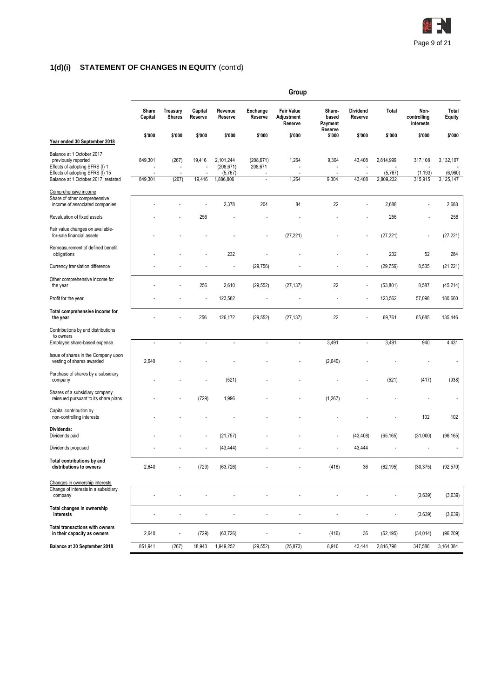

#### **1(d)(i) STATEMENT OF CHANGES IN EQUITY** (cont'd)

|                                                                                                                                                               | Group              |                           |                    |                                                 |                             |                                            |                                       |                            |                                   |                                  |                                   |
|---------------------------------------------------------------------------------------------------------------------------------------------------------------|--------------------|---------------------------|--------------------|-------------------------------------------------|-----------------------------|--------------------------------------------|---------------------------------------|----------------------------|-----------------------------------|----------------------------------|-----------------------------------|
|                                                                                                                                                               | Share<br>Capital   | Treasury<br><b>Shares</b> | Capital<br>Reserve | Revenue<br>Reserve                              | Exchange<br>Reserve         | <b>Fair Value</b><br>Adjustment<br>Reserve | Share-<br>based<br>Payment<br>Reserve | <b>Dividend</b><br>Reserve | Total                             | Non-<br>controlling<br>Interests | Total<br><b>Equity</b>            |
| Year ended 30 September 2018                                                                                                                                  | \$'000             | \$'000                    | \$'000             | \$'000                                          | \$'000                      | \$'000                                     | \$'000                                | \$'000                     | \$'000                            | \$'000                           | \$'000                            |
| Balance at 1 October 2017,<br>previously reported<br>Effects of adopting SFRS (I) 1<br>Effects of adopting SFRS (I) 15<br>Balance at 1 October 2017, restated | 849,301<br>849,301 | (267)<br>(267)            | 19,416<br>19,416   | 2,101,244<br>(208, 671)<br>(5,767)<br>1,886,806 | (208, 671)<br>208,671<br>÷, | 1,264<br>J.<br>1,264                       | 9,304<br>$\overline{a}$<br>9,304      | 43,408<br>43,408           | 2,814,999<br>(5,767)<br>2,809,232 | 317,108<br>(1, 193)<br>315,915   | 3,132,107<br>(6,960)<br>3,125,147 |
| Comprehensive income<br>Share of other comprehensive<br>income of associated companies                                                                        |                    |                           |                    | 2,378                                           | 204                         | 84                                         | 22                                    |                            | 2,688                             |                                  | 2,688                             |
| Revaluation of fixed assets                                                                                                                                   |                    |                           | 256                |                                                 |                             |                                            |                                       |                            | 256                               |                                  | 256                               |
| Fair value changes on available-<br>for-sale financial assets                                                                                                 |                    |                           |                    |                                                 |                             | (27, 221)                                  |                                       |                            | (27, 221)                         | ÷,                               | (27, 221)                         |
| Remeasurement of defined benefit<br>obligations                                                                                                               |                    |                           |                    | 232                                             |                             |                                            |                                       |                            | 232                               | 52                               | 284                               |
| Currency translation difference                                                                                                                               |                    |                           |                    |                                                 | (29, 756)                   |                                            |                                       |                            | (29, 756)                         | 8,535                            | (21, 221)                         |
| Other comprehensive income for<br>the year                                                                                                                    |                    |                           | 256                | 2,610                                           | (29, 552)                   | (27, 137)                                  | 22                                    |                            | (53,801)                          | 8,587                            | (45, 214)                         |
| Profit for the year                                                                                                                                           |                    |                           |                    | 123,562                                         |                             |                                            |                                       |                            | 123,562                           | 57,098                           | 180,660                           |
| Total comprehensive income for<br>the year                                                                                                                    |                    |                           | 256                | 126,172                                         | (29, 552)                   | (27, 137)                                  | 22                                    |                            | 69,761                            | 65,685                           | 135,446                           |
| Contributions by and distributions<br>to owners                                                                                                               |                    |                           |                    |                                                 |                             |                                            |                                       |                            |                                   |                                  |                                   |
| Employee share-based expense                                                                                                                                  | $\overline{a}$     |                           |                    |                                                 |                             |                                            | 3,491                                 |                            | 3,491                             | 940                              | 4,431                             |
| Issue of shares in the Company upon<br>vesting of shares awarded                                                                                              | 2,640              |                           |                    |                                                 |                             |                                            | (2,640)                               |                            |                                   |                                  |                                   |
| Purchase of shares by a subsidiary<br>company                                                                                                                 |                    |                           |                    | (521)                                           |                             |                                            |                                       |                            | (521)                             | (417)                            | (938)                             |
| Shares of a subsidiary company<br>reissued pursuant to its share plans                                                                                        |                    |                           | (729)              | 1,996                                           |                             |                                            | (1,267)                               |                            |                                   |                                  |                                   |
| Capital contribution by<br>non-controlling interests                                                                                                          |                    |                           |                    |                                                 |                             |                                            |                                       |                            |                                   | 102                              | 102                               |
| Dividends:<br>Dividends paid                                                                                                                                  |                    |                           |                    | (21, 757)                                       |                             |                                            |                                       | (43, 408)                  | (65, 165)                         | (31,000)                         | (96, 165)                         |
| Dividends proposed                                                                                                                                            |                    |                           |                    | (43, 444)                                       |                             |                                            |                                       | 43,444                     |                                   |                                  |                                   |
| Total contributions by and<br>distributions to owners                                                                                                         | 2,640              |                           | (729)              | (63, 726)                                       |                             |                                            | (416)                                 | 36                         | (62, 195)                         | (30, 375)                        | (92, 570)                         |
| Changes in ownership interests<br>Change of interests in a subsidiary<br>company                                                                              | ÷,                 |                           |                    |                                                 | l,                          | ÷                                          |                                       |                            | ÷,                                | (3,639)                          | (3,639)                           |
| Total changes in ownership<br>interests                                                                                                                       |                    | ÷                         |                    |                                                 | ÷,                          | ÷,                                         | ÷,                                    |                            | ÷,                                | (3,639)                          | (3,639)                           |
| <b>Total transactions with owners</b><br>in their capacity as owners                                                                                          | 2,640              | Ĭ.                        | (729)              | (63, 726)                                       |                             | ł,                                         | (416)                                 | 36                         | (62, 195)                         | (34, 014)                        | (96, 209)                         |
| Balance at 30 September 2018                                                                                                                                  | 851,941            | (267)                     | 18,943             | 1,949,252                                       | (29, 552)                   | (25, 873)                                  | 8,910                                 | 43,444                     | 2,816,798                         | 347,586                          | 3,164,384                         |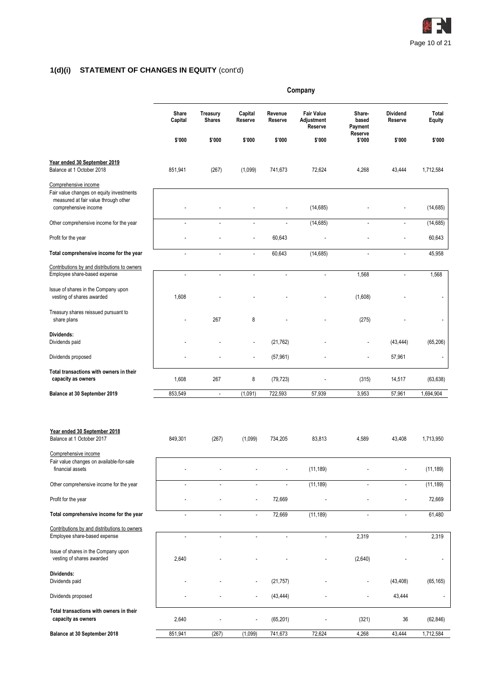

# **1(d)(i) STATEMENT OF CHANGES IN EQUITY** (cont'd)

|                                                                                                                                  | Company          |                           |                          |                          |                                            |                            |                            |                        |
|----------------------------------------------------------------------------------------------------------------------------------|------------------|---------------------------|--------------------------|--------------------------|--------------------------------------------|----------------------------|----------------------------|------------------------|
|                                                                                                                                  | Share<br>Capital | Treasury<br><b>Shares</b> | Capital<br>Reserve       | Revenue<br>Reserve       | <b>Fair Value</b><br>Adjustment<br>Reserve | Share-<br>based<br>Payment | <b>Dividend</b><br>Reserve | Total<br><b>Equity</b> |
|                                                                                                                                  | \$'000           | \$'000                    | \$'000                   | \$'000                   | \$'000                                     | Reserve<br>\$'000          | \$'000                     | \$'000                 |
| Year ended 30 September 2019<br>Balance at 1 October 2018                                                                        | 851,941          | (267)                     | (1,099)                  | 741,673                  | 72,624                                     | 4,268                      | 43,444                     | 1,712,584              |
| Comprehensive income<br>Fair value changes on equity investments<br>measured at fair value through other<br>comprehensive income |                  |                           |                          |                          | (14, 685)                                  |                            |                            | (14, 685)              |
| Other comprehensive income for the year                                                                                          | $\overline{a}$   | Ĭ.                        | $\overline{a}$           | $\overline{\phantom{a}}$ | (14, 685)                                  | $\overline{\phantom{a}}$   | $\blacksquare$             | (14, 685)              |
| Profit for the year                                                                                                              |                  |                           | L,                       | 60,643                   |                                            |                            |                            | 60,643                 |
| Total comprehensive income for the year                                                                                          | $\overline{a}$   | $\overline{\phantom{a}}$  | ÷,                       | 60,643                   | (14, 685)                                  | $\overline{\phantom{a}}$   | $\blacksquare$             | 45,958                 |
| Contributions by and distributions to owners<br>Employee share-based expense                                                     | $\overline{a}$   | $\overline{\phantom{a}}$  | $\overline{a}$           | $\overline{\phantom{a}}$ | $\overline{\phantom{a}}$                   | 1,568                      | $\blacksquare$             | 1,568                  |
| Issue of shares in the Company upon<br>vesting of shares awarded                                                                 | 1,608            |                           |                          |                          |                                            | (1,608)                    |                            | ٠                      |
| Treasury shares reissued pursuant to<br>share plans                                                                              |                  | 267                       | 8                        |                          |                                            | (275)                      |                            | $\overline{a}$         |
| Dividends:<br>Dividends paid                                                                                                     |                  |                           | $\overline{a}$           | (21, 762)                |                                            |                            | (43, 444)                  | (65, 206)              |
| Dividends proposed                                                                                                               |                  |                           | $\overline{a}$           | (57, 961)                |                                            |                            | 57,961                     | $\overline{a}$         |
| Total transactions with owners in their<br>capacity as owners                                                                    | 1,608            | 267                       | 8                        | (79, 723)                |                                            | (315)                      | 14,517                     | (63, 638)              |
| Balance at 30 September 2019                                                                                                     | 853,549          | $\overline{\phantom{a}}$  | (1,091)                  | 722,593                  | 57,939                                     | 3,953                      | 57,961                     | 1,694,904              |
| Year ended 30 September 2018<br>Balance at 1 October 2017                                                                        | 849,301          | (267)                     | (1,099)                  | 734,205                  | 83,813                                     | 4,589                      | 43,408                     | 1,713,950              |
| Comprehensive income<br>Fair value changes on available-for-sale<br>financial assets                                             |                  |                           |                          |                          | (11, 189)                                  |                            |                            | (11, 189)              |
| Other comprehensive income for the year                                                                                          | $\overline{a}$   | L.                        | L,                       | $\overline{\phantom{a}}$ | (11, 189)                                  | ÷.                         | ÷,                         | (11, 189)              |
| Profit for the year                                                                                                              |                  |                           | $\overline{a}$           | 72,669                   |                                            |                            | $\overline{a}$             | 72,669                 |
| Total comprehensive income for the year                                                                                          | ÷,               |                           | ÷,                       | 72,669                   | (11, 189)                                  | L.                         | ÷,                         | 61,480                 |
| Contributions by and distributions to owners<br>Employee share-based expense                                                     | $\overline{a}$   | $\overline{a}$            | $\overline{\phantom{a}}$ | $\overline{\phantom{a}}$ | $\ddot{\phantom{0}}$                       | 2,319                      | $\overline{a}$             | 2,319                  |
| Issue of shares in the Company upon<br>vesting of shares awarded                                                                 | 2,640            |                           |                          |                          |                                            | (2,640)                    |                            |                        |
| Dividends:<br>Dividends paid                                                                                                     |                  |                           |                          | (21, 757)                |                                            |                            | (43, 408)                  | (65, 165)              |
| Dividends proposed                                                                                                               |                  |                           |                          | (43, 444)                |                                            |                            | 43,444                     |                        |
| Total transactions with owners in their<br>capacity as owners                                                                    | 2,640            |                           |                          | (65, 201)                |                                            | (321)                      | 36                         | (62, 846)              |
| Balance at 30 September 2018                                                                                                     | 851,941          | (267)                     | (1,099)                  | 741,673                  | 72,624                                     | 4,268                      | 43,444                     | 1,712,584              |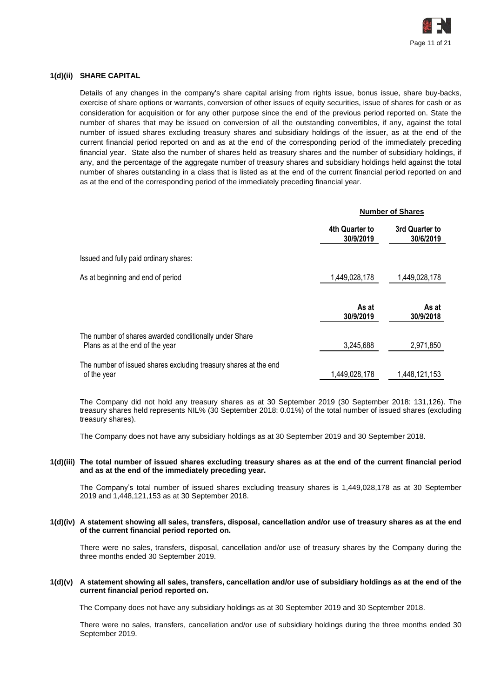

## **1(d)(ii) SHARE CAPITAL**

Details of any changes in the company's share capital arising from rights issue, bonus issue, share buy-backs, exercise of share options or warrants, conversion of other issues of equity securities, issue of shares for cash or as consideration for acquisition or for any other purpose since the end of the previous period reported on. State the number of shares that may be issued on conversion of all the outstanding convertibles, if any, against the total number of issued shares excluding treasury shares and subsidiary holdings of the issuer, as at the end of the current financial period reported on and as at the end of the corresponding period of the immediately preceding financial year. State also the number of shares held as treasury shares and the number of subsidiary holdings, if any, and the percentage of the aggregate number of treasury shares and subsidiary holdings held against the total number of shares outstanding in a class that is listed as at the end of the current financial period reported on and as at the end of the corresponding period of the immediately preceding financial year.

|                                                                                           |                             | <b>Number of Shares</b>     |  |  |
|-------------------------------------------------------------------------------------------|-----------------------------|-----------------------------|--|--|
|                                                                                           | 4th Quarter to<br>30/9/2019 | 3rd Quarter to<br>30/6/2019 |  |  |
| Issued and fully paid ordinary shares:                                                    |                             |                             |  |  |
| As at beginning and end of period                                                         | 1,449,028,178               | 1,449,028,178               |  |  |
|                                                                                           | As at<br>30/9/2019          | As at<br>30/9/2018          |  |  |
| The number of shares awarded conditionally under Share<br>Plans as at the end of the year | 3,245,688                   | 2,971,850                   |  |  |
| The number of issued shares excluding treasury shares at the end<br>of the year           | 1,449,028,178               | 1,448,121,153               |  |  |

The Company did not hold any treasury shares as at 30 September 2019 (30 September 2018: 131,126). The treasury shares held represents NIL% (30 September 2018: 0.01%) of the total number of issued shares (excluding treasury shares).

The Company does not have any subsidiary holdings as at 30 September 2019 and 30 September 2018.

#### **1(d)(iii) The total number of issued shares excluding treasury shares as at the end of the current financial period and as at the end of the immediately preceding year.**

The Company's total number of issued shares excluding treasury shares is 1,449,028,178 as at 30 September 2019 and 1,448,121,153 as at 30 September 2018.

#### **1(d)(iv) A statement showing all sales, transfers, disposal, cancellation and/or use of treasury shares as at the end of the current financial period reported on.**

There were no sales, transfers, disposal, cancellation and/or use of treasury shares by the Company during the three months ended 30 September 2019.

#### **1(d)(v) A statement showing all sales, transfers, cancellation and/or use of subsidiary holdings as at the end of the current financial period reported on.**

The Company does not have any subsidiary holdings as at 30 September 2019 and 30 September 2018.

There were no sales, transfers, cancellation and/or use of subsidiary holdings during the three months ended 30 September 2019.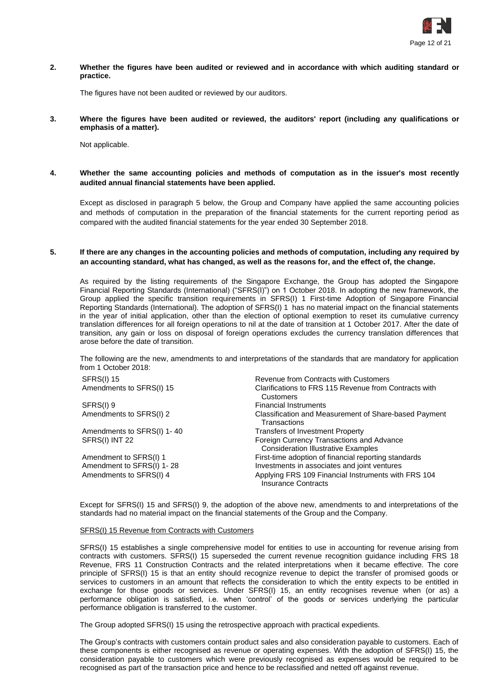

#### **2. Whether the figures have been audited or reviewed and in accordance with which auditing standard or practice.**

The figures have not been audited or reviewed by our auditors.

#### **3. Where the figures have been audited or reviewed, the auditors' report (including any qualifications or emphasis of a matter).**

Not applicable.

**4. Whether the same accounting policies and methods of computation as in the issuer's most recently audited annual financial statements have been applied.**

Except as disclosed in paragraph 5 below, the Group and Company have applied the same accounting policies and methods of computation in the preparation of the financial statements for the current reporting period as compared with the audited financial statements for the year ended 30 September 2018.

#### **5. If there are any changes in the accounting policies and methods of computation, including any required by an accounting standard, what has changed, as well as the reasons for, and the effect of, the change.**

As required by the listing requirements of the Singapore Exchange, the Group has adopted the Singapore Financial Reporting Standards (International) ("SFRS(I)") on 1 October 2018. In adopting the new framework, the Group applied the specific transition requirements in SFRS(I) 1 First-time Adoption of Singapore Financial Reporting Standards (International). The adoption of SFRS(I) 1 has no material impact on the financial statements in the year of initial application, other than the election of optional exemption to reset its cumulative currency translation differences for all foreign operations to nil at the date of transition at 1 October 2017. After the date of transition, any gain or loss on disposal of foreign operations excludes the currency translation differences that arose before the date of transition.

The following are the new, amendments to and interpretations of the standards that are mandatory for application from 1 October 2018:

| Revenue from Contracts with Customers                                                   |
|-----------------------------------------------------------------------------------------|
| Clarifications to FRS 115 Revenue from Contracts with<br>Customers                      |
| <b>Financial Instruments</b>                                                            |
| Classification and Measurement of Share-based Payment<br>Transactions                   |
| Transfers of Investment Property                                                        |
| Foreign Currency Transactions and Advance<br><b>Consideration Illustrative Examples</b> |
| First-time adoption of financial reporting standards                                    |
| Investments in associates and joint ventures                                            |
| Applying FRS 109 Financial Instruments with FRS 104<br><b>Insurance Contracts</b>       |
|                                                                                         |

Except for SFRS(I) 15 and SFRS(I) 9, the adoption of the above new, amendments to and interpretations of the standards had no material impact on the financial statements of the Group and the Company.

#### SFRS(I) 15 Revenue from Contracts with Customers

SFRS(I) 15 establishes a single comprehensive model for entities to use in accounting for revenue arising from contracts with customers. SFRS(I) 15 superseded the current revenue recognition guidance including FRS 18 Revenue, FRS 11 Construction Contracts and the related interpretations when it became effective. The core principle of SFRS(I) 15 is that an entity should recognize revenue to depict the transfer of promised goods or services to customers in an amount that reflects the consideration to which the entity expects to be entitled in exchange for those goods or services. Under SFRS(I) 15, an entity recognises revenue when (or as) a performance obligation is satisfied, i.e. when 'control' of the goods or services underlying the particular performance obligation is transferred to the customer.

The Group adopted SFRS(I) 15 using the retrospective approach with practical expedients.

The Group's contracts with customers contain product sales and also consideration payable to customers. Each of these components is either recognised as revenue or operating expenses. With the adoption of SFRS(I) 15, the consideration payable to customers which were previously recognised as expenses would be required to be recognised as part of the transaction price and hence to be reclassified and netted off against revenue.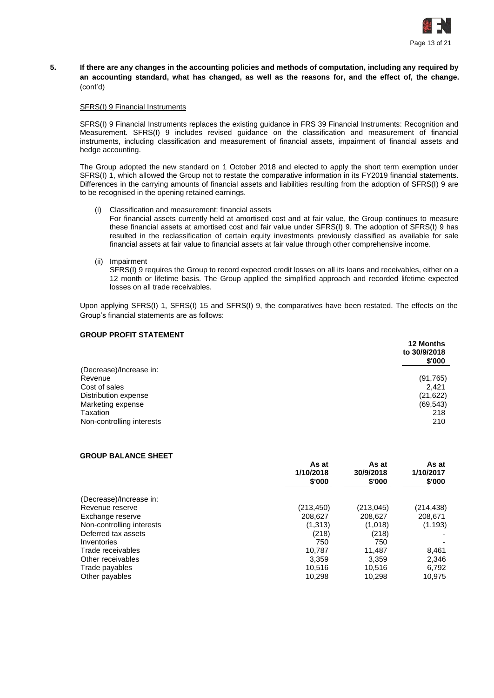

**5. If there are any changes in the accounting policies and methods of computation, including any required by an accounting standard, what has changed, as well as the reasons for, and the effect of, the change.** (cont'd)

#### SFRS(I) 9 Financial Instruments

SFRS(I) 9 Financial Instruments replaces the existing guidance in FRS 39 Financial Instruments: Recognition and Measurement. SFRS(I) 9 includes revised guidance on the classification and measurement of financial instruments, including classification and measurement of financial assets, impairment of financial assets and hedge accounting.

The Group adopted the new standard on 1 October 2018 and elected to apply the short term exemption under SFRS(I) 1, which allowed the Group not to restate the comparative information in its FY2019 financial statements. Differences in the carrying amounts of financial assets and liabilities resulting from the adoption of SFRS(I) 9 are to be recognised in the opening retained earnings.

- (i) Classification and measurement: financial assets For financial assets currently held at amortised cost and at fair value, the Group continues to measure these financial assets at amortised cost and fair value under SFRS(I) 9. The adoption of SFRS(I) 9 has resulted in the reclassification of certain equity investments previously classified as available for sale financial assets at fair value to financial assets at fair value through other comprehensive income.
- (ii) Impairment

SFRS(I) 9 requires the Group to record expected credit losses on all its loans and receivables, either on a 12 month or lifetime basis. The Group applied the simplified approach and recorded lifetime expected losses on all trade receivables.

Upon applying SFRS(I) 1, SFRS(I) 15 and SFRS(I) 9, the comparatives have been restated. The effects on the Group's financial statements are as follows:

## **GROUP PROFIT STATEMENT**

|                           | <b>12 Months</b><br>to 30/9/2018<br>\$'000 |
|---------------------------|--------------------------------------------|
| (Decrease)/Increase in:   |                                            |
| Revenue                   | (91, 765)                                  |
| Cost of sales             | 2.421                                      |
| Distribution expense      | (21, 622)                                  |
| Marketing expense         | (69, 543)                                  |
| Taxation                  | 218                                        |
| Non-controlling interests | 210                                        |

#### **GROUP BALANCE SHEET**

|                           | As at<br>1/10/2018<br>\$'000 | As at<br>30/9/2018<br>\$'000 | As at<br>1/10/2017<br>\$'000 |
|---------------------------|------------------------------|------------------------------|------------------------------|
| (Decrease)/Increase in:   |                              |                              |                              |
| Revenue reserve           | (213, 450)                   | (213,045)                    | (214, 438)                   |
| Exchange reserve          | 208,627                      | 208,627                      | 208,671                      |
| Non-controlling interests | (1,313)                      | (1,018)                      | (1, 193)                     |
| Deferred tax assets       | (218)                        | (218)                        |                              |
| Inventories               | 750                          | 750                          |                              |
| Trade receivables         | 10.787                       | 11.487                       | 8,461                        |
| Other receivables         | 3.359                        | 3,359                        | 2,346                        |
| Trade payables            | 10,516                       | 10,516                       | 6,792                        |
| Other payables            | 10,298                       | 10,298                       | 10,975                       |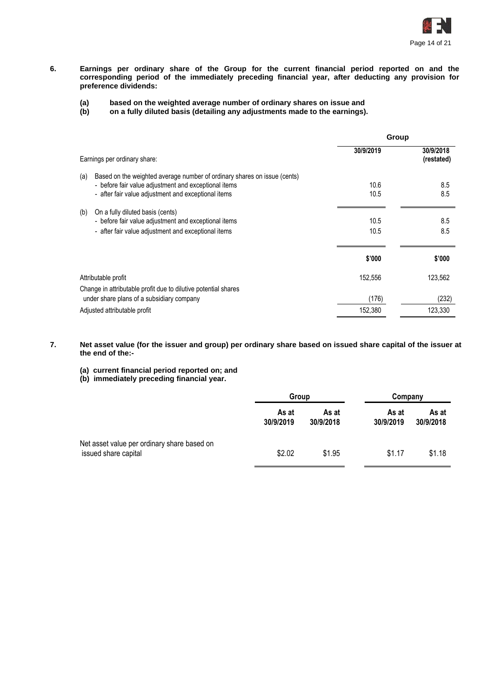

- **6. Earnings per ordinary share of the Group for the current financial period reported on and the corresponding period of the immediately preceding financial year, after deducting any provision for preference dividends:**
	- **(a) based on the weighted average number of ordinary shares on issue and**
	- **(b) on a fully diluted basis (detailing any adjustments made to the earnings).**

|                                                                                                                                                                                                | Group        |                         |
|------------------------------------------------------------------------------------------------------------------------------------------------------------------------------------------------|--------------|-------------------------|
| Earnings per ordinary share:                                                                                                                                                                   | 30/9/2019    | 30/9/2018<br>(restated) |
| Based on the weighted average number of ordinary shares on issue (cents)<br>(a)<br>- before fair value adjustment and exceptional items<br>- after fair value adjustment and exceptional items | 10.6<br>10.5 | 8.5<br>8.5              |
| (b)<br>On a fully diluted basis (cents)<br>- before fair value adjustment and exceptional items<br>- after fair value adjustment and exceptional items                                         | 10.5<br>10.5 | 8.5<br>8.5              |
|                                                                                                                                                                                                | \$'000       | \$'000                  |
| Attributable profit                                                                                                                                                                            | 152,556      | 123,562                 |
| Change in attributable profit due to dilutive potential shares                                                                                                                                 |              |                         |
| under share plans of a subsidiary company                                                                                                                                                      | (176)        | (232)                   |
| Adjusted attributable profit                                                                                                                                                                   | 152,380      | 123,330                 |

- **7. Net asset value (for the issuer and group) per ordinary share based on issued share capital of the issuer at the end of the:-**
	- **(a) current financial period reported on; and**
	- **(b) immediately preceding financial year.**

|                                                                     | Group              |                    | Company            |                    |
|---------------------------------------------------------------------|--------------------|--------------------|--------------------|--------------------|
|                                                                     | As at<br>30/9/2019 | As at<br>30/9/2018 | As at<br>30/9/2019 | As at<br>30/9/2018 |
| Net asset value per ordinary share based on<br>issued share capital | \$2.02             | \$1.95             | \$1.17             | \$1.18             |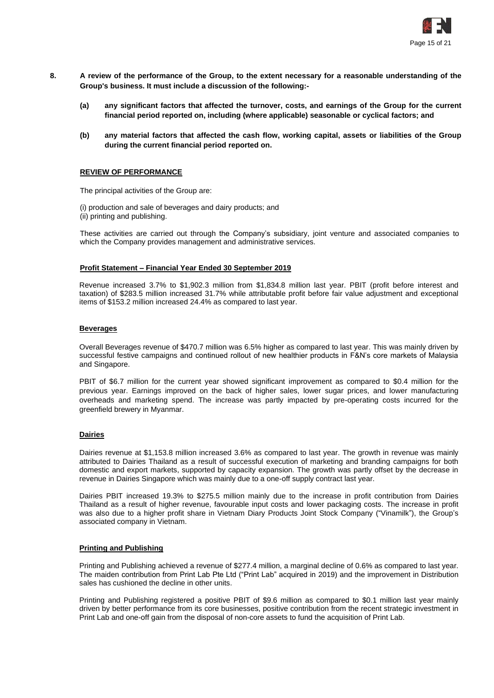

- **8. A review of the performance of the Group, to the extent necessary for a reasonable understanding of the Group's business. It must include a discussion of the following:-**
	- **(a) any significant factors that affected the turnover, costs, and earnings of the Group for the current financial period reported on, including (where applicable) seasonable or cyclical factors; and**
	- **(b) any material factors that affected the cash flow, working capital, assets or liabilities of the Group during the current financial period reported on.**

#### **REVIEW OF PERFORMANCE**

The principal activities of the Group are:

(i) production and sale of beverages and dairy products; and (ii) printing and publishing.

These activities are carried out through the Company's subsidiary, joint venture and associated companies to which the Company provides management and administrative services.

#### **Profit Statement – Financial Year Ended 30 September 2019**

Revenue increased 3.7% to \$1,902.3 million from \$1,834.8 million last year. PBIT (profit before interest and taxation) of \$283.5 million increased 31.7% while attributable profit before fair value adjustment and exceptional items of \$153.2 million increased 24.4% as compared to last year.

# **Beverages**

Overall Beverages revenue of \$470.7 million was 6.5% higher as compared to last year. This was mainly driven by successful festive campaigns and continued rollout of new healthier products in F&N's core markets of Malaysia and Singapore.

PBIT of \$6.7 million for the current year showed significant improvement as compared to \$0.4 million for the previous year. Earnings improved on the back of higher sales, lower sugar prices, and lower manufacturing overheads and marketing spend. The increase was partly impacted by pre-operating costs incurred for the greenfield brewery in Myanmar.

#### **Dairies**

Dairies revenue at \$1,153.8 million increased 3.6% as compared to last year. The growth in revenue was mainly attributed to Dairies Thailand as a result of successful execution of marketing and branding campaigns for both domestic and export markets, supported by capacity expansion. The growth was partly offset by the decrease in revenue in Dairies Singapore which was mainly due to a one-off supply contract last year.

Dairies PBIT increased 19.3% to \$275.5 million mainly due to the increase in profit contribution from Dairies Thailand as a result of higher revenue, favourable input costs and lower packaging costs. The increase in profit was also due to a higher profit share in Vietnam Diary Products Joint Stock Company ("Vinamilk"), the Group's associated company in Vietnam.

#### **Printing and Publishing**

Printing and Publishing achieved a revenue of \$277.4 million, a marginal decline of 0.6% as compared to last year. The maiden contribution from Print Lab Pte Ltd ("Print Lab" acquired in 2019) and the improvement in Distribution sales has cushioned the decline in other units.

Printing and Publishing registered a positive PBIT of \$9.6 million as compared to \$0.1 million last year mainly driven by better performance from its core businesses, positive contribution from the recent strategic investment in Print Lab and one-off gain from the disposal of non-core assets to fund the acquisition of Print Lab.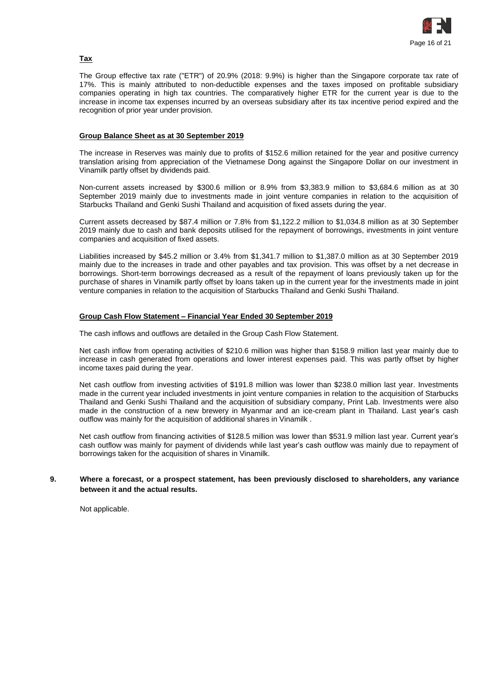

# **Tax**

The Group effective tax rate ("ETR") of 20.9% (2018: 9.9%) is higher than the Singapore corporate tax rate of 17%. This is mainly attributed to non-deductible expenses and the taxes imposed on profitable subsidiary companies operating in high tax countries. The comparatively higher ETR for the current year is due to the increase in income tax expenses incurred by an overseas subsidiary after its tax incentive period expired and the recognition of prior year under provision.

## **Group Balance Sheet as at 30 September 2019**

The increase in Reserves was mainly due to profits of \$152.6 million retained for the year and positive currency translation arising from appreciation of the Vietnamese Dong against the Singapore Dollar on our investment in Vinamilk partly offset by dividends paid.

Non-current assets increased by \$300.6 million or 8.9% from \$3,383.9 million to \$3,684.6 million as at 30 September 2019 mainly due to investments made in joint venture companies in relation to the acquisition of Starbucks Thailand and Genki Sushi Thailand and acquisition of fixed assets during the year.

Current assets decreased by \$87.4 million or 7.8% from \$1,122.2 million to \$1,034.8 million as at 30 September 2019 mainly due to cash and bank deposits utilised for the repayment of borrowings, investments in joint venture companies and acquisition of fixed assets.

Liabilities increased by \$45.2 million or 3.4% from \$1,341.7 million to \$1,387.0 million as at 30 September 2019 mainly due to the increases in trade and other payables and tax provision. This was offset by a net decrease in borrowings. Short-term borrowings decreased as a result of the repayment of loans previously taken up for the purchase of shares in Vinamilk partly offset by loans taken up in the current year for the investments made in joint venture companies in relation to the acquisition of Starbucks Thailand and Genki Sushi Thailand.

## **Group Cash Flow Statement – Financial Year Ended 30 September 2019**

The cash inflows and outflows are detailed in the Group Cash Flow Statement.

Net cash inflow from operating activities of \$210.6 million was higher than \$158.9 million last year mainly due to increase in cash generated from operations and lower interest expenses paid. This was partly offset by higher income taxes paid during the year.

Net cash outflow from investing activities of \$191.8 million was lower than \$238.0 million last year. Investments made in the current year included investments in joint venture companies in relation to the acquisition of Starbucks Thailand and Genki Sushi Thailand and the acquisition of subsidiary company, Print Lab. Investments were also made in the construction of a new brewery in Myanmar and an ice-cream plant in Thailand. Last year's cash outflow was mainly for the acquisition of additional shares in Vinamilk .

Net cash outflow from financing activities of \$128.5 million was lower than \$531.9 million last year. Current year's cash outflow was mainly for payment of dividends while last year's cash outflow was mainly due to repayment of borrowings taken for the acquisition of shares in Vinamilk.

#### **9. Where a forecast, or a prospect statement, has been previously disclosed to shareholders, any variance between it and the actual results.**

Not applicable.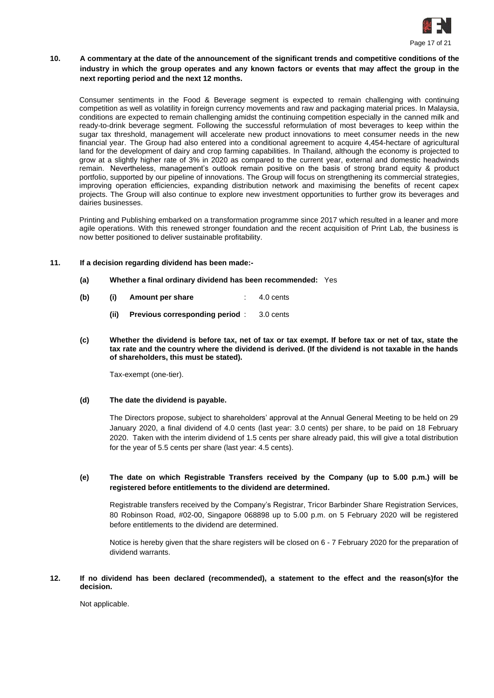

# **10. A commentary at the date of the announcement of the significant trends and competitive conditions of the industry in which the group operates and any known factors or events that may affect the group in the next reporting period and the next 12 months.**

Consumer sentiments in the Food & Beverage segment is expected to remain challenging with continuing competition as well as volatility in foreign currency movements and raw and packaging material prices. In Malaysia, conditions are expected to remain challenging amidst the continuing competition especially in the canned milk and ready-to-drink beverage segment. Following the successful reformulation of most beverages to keep within the sugar tax threshold, management will accelerate new product innovations to meet consumer needs in the new financial year. The Group had also entered into a conditional agreement to acquire 4,454-hectare of agricultural land for the development of dairy and crop farming capabilities. In Thailand, although the economy is projected to grow at a slightly higher rate of 3% in 2020 as compared to the current year, external and domestic headwinds remain. Nevertheless, management's outlook remain positive on the basis of strong brand equity & product portfolio, supported by our pipeline of innovations. The Group will focus on strengthening its commercial strategies, improving operation efficiencies, expanding distribution network and maximising the benefits of recent capex projects. The Group will also continue to explore new investment opportunities to further grow its beverages and dairies businesses.

Printing and Publishing embarked on a transformation programme since 2017 which resulted in a leaner and more agile operations. With this renewed stronger foundation and the recent acquisition of Print Lab, the business is now better positioned to deliver sustainable profitability.

## **11. If a decision regarding dividend has been made:-**

- **(a) Whether a final ordinary dividend has been recommended:** Yes
- **(b) (i) Amount per share** : 4.0 cents
	- **(ii) Previous corresponding period** : 3.0 cents
- **(c) Whether the dividend is before tax, net of tax or tax exempt. If before tax or net of tax, state the tax rate and the country where the dividend is derived. (If the dividend is not taxable in the hands of shareholders, this must be stated).**

Tax-exempt (one-tier).

#### **(d) The date the dividend is payable.**

The Directors propose, subject to shareholders' approval at the Annual General Meeting to be held on 29 January 2020, a final dividend of 4.0 cents (last year: 3.0 cents) per share, to be paid on 18 February 2020. Taken with the interim dividend of 1.5 cents per share already paid, this will give a total distribution for the year of 5.5 cents per share (last year: 4.5 cents).

## **(e) The date on which Registrable Transfers received by the Company (up to 5.00 p.m.) will be registered before entitlements to the dividend are determined.**

Registrable transfers received by the Company's Registrar, Tricor Barbinder Share Registration Services, 80 Robinson Road, #02-00, Singapore 068898 up to 5.00 p.m. on 5 February 2020 will be registered before entitlements to the dividend are determined.

Notice is hereby given that the share registers will be closed on 6 - 7 February 2020 for the preparation of dividend warrants.

# **12. If no dividend has been declared (recommended), a statement to the effect and the reason(s)for the decision.**

Not applicable.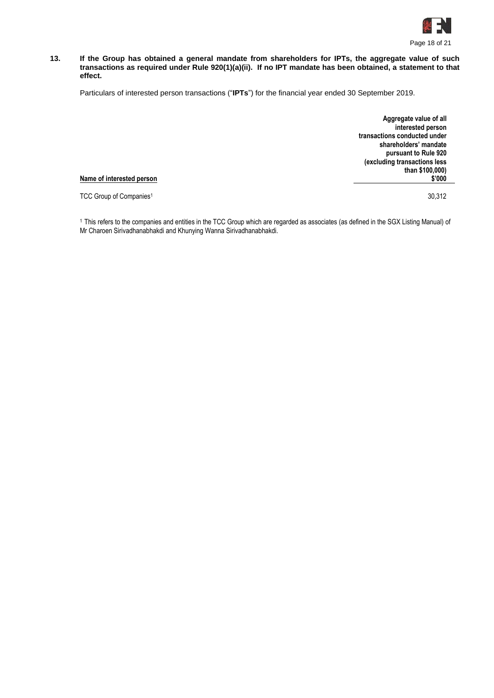

#### **13. If the Group has obtained a general mandate from shareholders for IPTs, the aggregate value of such transactions as required under Rule 920(1)(a)(ii). If no IPT mandate has been obtained, a statement to that effect.**

Particulars of interested person transactions ("**IPTs**") for the financial year ended 30 September 2019.

**Aggregate value of all interested person transactions conducted under shareholders' mandate pursuant to Rule 920 (excluding transactions less than \$100,000) \$'000**

#### **Name of interested person**

TCC Group of Companies<sup>1</sup> 30,312

<sup>1</sup>This refers to the companies and entities in the TCC Group which are regarded as associates (as defined in the SGX Listing Manual) of Mr Charoen Sirivadhanabhakdi and Khunying Wanna Sirivadhanabhakdi.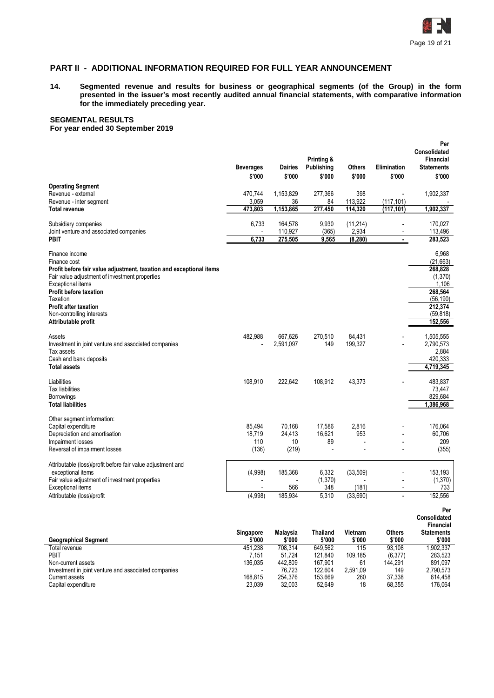

# **PART II - ADDITIONAL INFORMATION REQUIRED FOR FULL YEAR ANNOUNCEMENT**

**14. Segmented revenue and results for business or geographical segments (of the Group) in the form presented in the issuer's most recently audited annual financial statements, with comparative information for the immediately preceding year.**

# **SEGMENTAL RESULTS**

**For year ended 30 September 2019**

|                                                                                                                                                                                                                                                                                                        | <b>Beverages</b><br>\$'000       | <b>Dairies</b><br>\$'000        | Printing &<br>Publishing<br>\$'000 | Others<br>\$'000               | <b>Elimination</b><br>\$'000 | Per<br><b>Consolidated</b><br>Financial<br><b>Statements</b><br>\$'000                                       |
|--------------------------------------------------------------------------------------------------------------------------------------------------------------------------------------------------------------------------------------------------------------------------------------------------------|----------------------------------|---------------------------------|------------------------------------|--------------------------------|------------------------------|--------------------------------------------------------------------------------------------------------------|
| <b>Operating Segment</b><br>Revenue - external<br>Revenue - inter segment<br><b>Total revenue</b>                                                                                                                                                                                                      | 470,744<br>3,059<br>473,803      | 1,153,829<br>36<br>1,153,865    | 277,366<br>84<br>277,450           | 398<br>113,922<br>114,320      | (117, 101)<br>(117.101)      | 1,902,337<br>1,902,337                                                                                       |
| Subsidiary companies<br>Joint venture and associated companies<br><b>PBIT</b>                                                                                                                                                                                                                          | 6,733<br>6,733                   | 164,578<br>110,927<br>275,505   | 9,930<br>(365)<br>9,565            | (11, 214)<br>2,934<br>(8, 280) | $\frac{1}{2}$<br>٠           | 170,027<br>113,496<br>283,523                                                                                |
| Finance income<br>Finance cost<br>Profit before fair value adjustment, taxation and exceptional items<br>Fair value adjustment of investment properties<br>Exceptional items<br>Profit before taxation<br>Taxation<br><b>Profit after taxation</b><br>Non-controlling interests<br>Attributable profit |                                  |                                 |                                    |                                |                              | 6,968<br>(21, 663)<br>268,828<br>(1,370)<br>1,106<br>268,564<br>(56, 190)<br>212,374<br>(59, 818)<br>152,556 |
| Assets<br>Investment in joint venture and associated companies<br>Tax assets<br>Cash and bank deposits<br><b>Total assets</b>                                                                                                                                                                          | 482,988                          | 667,626<br>2,591,097            | 270,510<br>149                     | 84,431<br>199,327              |                              | 1,505,555<br>2.790.573<br>2,884<br>420,333<br>4,719,345                                                      |
| Liabilities<br><b>Tax liabilities</b><br>Borrowings<br><b>Total liabilities</b>                                                                                                                                                                                                                        | 108,910                          | 222,642                         | 108,912                            | 43,373                         |                              | 483.837<br>73,447<br>829,684<br>1,386,968                                                                    |
| Other segment information:<br>Capital expenditure<br>Depreciation and amortisation<br>Impairment losses<br>Reversal of impairment losses                                                                                                                                                               | 85,494<br>18.719<br>110<br>(136) | 70,168<br>24,413<br>10<br>(219) | 17,586<br>16.621<br>89             | 2,816<br>953                   |                              | 176.064<br>60.706<br>209<br>(355)                                                                            |
| Attributable (loss)/profit before fair value adjustment and<br>exceptional items<br>Fair value adjustment of investment properties<br>Exceptional items<br>Attributable (loss)/profit                                                                                                                  | (4,998)<br>(4,998)               | 185,368<br>566<br>185,934       | 6,332<br>(1, 370)<br>348<br>5,310  | (33, 509)<br>(181)<br>(33,690) | L,                           | 153,193<br>(1, 370)<br>733<br>152,556                                                                        |

| <b>Geographical Segment</b>                          | Singapore<br>\$'000 | <b>Malavsia</b><br>\$'000 | <b>Thailand</b><br>\$'000 | Vietnam<br>\$'000 | Others<br>\$'000 | <b>Consolidated</b><br>Financial<br><b>Statements</b><br>\$'000 |
|------------------------------------------------------|---------------------|---------------------------|---------------------------|-------------------|------------------|-----------------------------------------------------------------|
| Total revenue                                        | 451.238             | 708.314                   | 649.562                   | 115               | 93.108           | 902.337                                                         |
| PBIT                                                 | 7.151               | 51.724                    | 121.840                   | 109.185           | (6, 377)         | 283.523                                                         |
| Non-current assets                                   | 136.035             | 442.809                   | 167.901                   | 61                | 144.291          | 891.097                                                         |
| Investment in joint venture and associated companies |                     | 76.723                    | 122.604                   | 2.591.09          | 149              | 2.790.573                                                       |
| Current assets                                       | 168.815             | 254.376                   | 153.669                   | 260               | 37.338           | 614.458                                                         |
| Capital expenditure                                  | 23.039              | 32.003                    | 52.649                    | 18                | 68.355           | 176.064                                                         |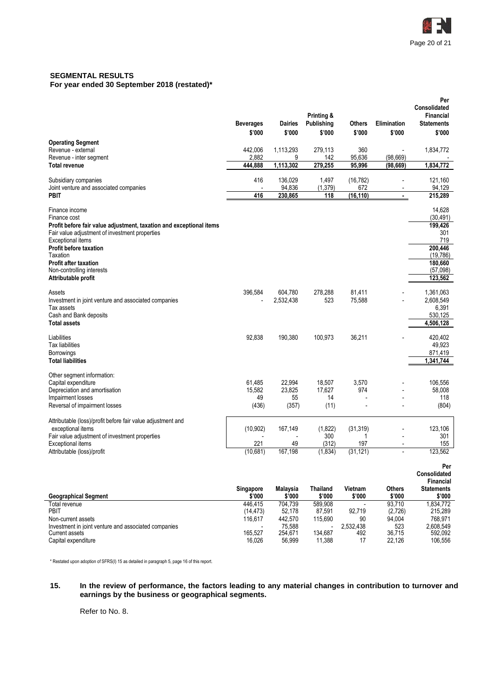

#### **SEGMENTAL RESULTS For year ended 30 September 2018 (restated)\***

|                                                                                                                       | <b>Beverages</b><br>\$'000 | <b>Dairies</b><br>\$'000 | Printing &<br>Publishing<br>\$'000 | <b>Others</b><br>\$'000 | <b>Elimination</b><br>\$'000 | Per<br><b>Consolidated</b><br>Financial<br><b>Statements</b><br>\$'000 |
|-----------------------------------------------------------------------------------------------------------------------|----------------------------|--------------------------|------------------------------------|-------------------------|------------------------------|------------------------------------------------------------------------|
| <b>Operating Segment</b>                                                                                              |                            |                          |                                    |                         |                              |                                                                        |
| Revenue - external<br>Revenue - inter segment                                                                         | 442,006<br>2,882           | 1,113,293<br>9           | 279,113<br>142                     | 360<br>95,636           | (98, 669)                    | 1,834,772                                                              |
| <b>Total revenue</b>                                                                                                  | 444,888                    | 1,113,302                | 279,255                            | 95,996                  | (98, 669)                    | 1,834,772                                                              |
|                                                                                                                       |                            |                          |                                    |                         |                              |                                                                        |
| Subsidiary companies                                                                                                  | 416                        | 136,029                  | 1,497                              | (16, 782)               | $\overline{a}$               | 121,160                                                                |
| Joint venture and associated companies                                                                                | 416                        | 94,836                   | (1, 379)                           | 672                     | $\overline{a}$               | 94,129                                                                 |
| <b>PBIT</b>                                                                                                           |                            | 230,865                  | 118                                | (16, 110)               | $\blacksquare$               | 215,289                                                                |
| Finance income                                                                                                        |                            |                          |                                    |                         |                              | 14,628                                                                 |
| Finance cost                                                                                                          |                            |                          |                                    |                         |                              | (30, 491)                                                              |
| Profit before fair value adjustment, taxation and exceptional items<br>Fair value adjustment of investment properties |                            |                          |                                    |                         |                              | 199,426<br>301                                                         |
| Exceptional items                                                                                                     |                            |                          |                                    |                         |                              | 719                                                                    |
| Profit before taxation                                                                                                |                            |                          |                                    |                         |                              | 200,446                                                                |
| Taxation                                                                                                              |                            |                          |                                    |                         |                              | (19, 786)                                                              |
| <b>Profit after taxation</b>                                                                                          |                            |                          |                                    |                         |                              | 180,660                                                                |
| Non-controlling interests<br>Attributable profit                                                                      |                            |                          |                                    |                         |                              | (57,098)<br>123,562                                                    |
|                                                                                                                       |                            |                          |                                    |                         |                              |                                                                        |
| Assets                                                                                                                | 396,584                    | 604,780                  | 278,288                            | 81,411                  |                              | 1,361,063                                                              |
| Investment in joint venture and associated companies                                                                  |                            | 2,532,438                | 523                                | 75,588                  |                              | 2,608,549                                                              |
| Tax assets<br>Cash and Bank deposits                                                                                  |                            |                          |                                    |                         |                              | 6,391<br>530,125                                                       |
| <b>Total assets</b>                                                                                                   |                            |                          |                                    |                         |                              | 4,506,128                                                              |
|                                                                                                                       |                            |                          |                                    |                         |                              |                                                                        |
| Liabilities                                                                                                           | 92,838                     | 190,380                  | 100,973                            | 36,211                  |                              | 420,402                                                                |
| Tax liabilities<br>Borrowings                                                                                         |                            |                          |                                    |                         |                              | 49,923<br>871,419                                                      |
| <b>Total liabilities</b>                                                                                              |                            |                          |                                    |                         |                              | 1,341,744                                                              |
|                                                                                                                       |                            |                          |                                    |                         |                              |                                                                        |
| Other segment information:                                                                                            |                            |                          |                                    |                         |                              |                                                                        |
| Capital expenditure<br>Depreciation and amortisation                                                                  | 61,485<br>15,582           | 22,994<br>23,825         | 18,507<br>17,627                   | 3,570<br>974            |                              | 106,556<br>58,008                                                      |
| Impairment losses                                                                                                     | 49                         | 55                       | 14                                 |                         |                              | 118                                                                    |
| Reversal of impairment losses                                                                                         | (436)                      | (357)                    | (11)                               |                         | $\overline{a}$               | (804)                                                                  |
|                                                                                                                       |                            |                          |                                    |                         |                              |                                                                        |
| Attributable (loss)/profit before fair value adjustment and<br>exceptional items                                      | (10, 902)                  | 167.149                  | (1,822)                            | (31, 319)               |                              | 123,106                                                                |
| Fair value adjustment of investment properties                                                                        |                            |                          | 300                                | 1                       |                              | 301                                                                    |
| Exceptional items                                                                                                     | 221                        | 49                       | (312)                              | 197                     |                              | 155                                                                    |
| Attributable (loss)/profit                                                                                            | (10,681)                   | 167,198                  | (1, 834)                           | (31, 121)               |                              | 123,562                                                                |
|                                                                                                                       |                            |                          |                                    |                         |                              | Per                                                                    |
|                                                                                                                       |                            |                          |                                    |                         |                              | Consolidated                                                           |
|                                                                                                                       |                            |                          |                                    |                         |                              | Financial                                                              |
|                                                                                                                       | Singapore                  | Malaysia                 | <b>Thailand</b>                    | Vietnam                 | <b>Others</b>                | <b>Statements</b>                                                      |
| <b>Geographical Segment</b><br>Total revenue                                                                          | \$'000<br>446,415          | \$'000<br>704,739        | \$'000<br>589,908                  | \$'000                  | \$'000<br>93,710             | \$'000<br>1,834,772                                                    |
| PBIT                                                                                                                  | (14, 473)                  | 52,178                   | 87,591                             | 92,719                  | (2,726)                      | 215,289                                                                |
| Non-current assets                                                                                                    | 116,617                    | 442,570                  | 115,690                            | 90                      | 94,004                       | 768,971                                                                |
| Investment in joint venture and associated companies                                                                  | 165,527                    | 75,588                   | 134,687                            | 2,532,438               | 523                          | 2,608,549                                                              |
| <b>Current assets</b><br>Capital expenditure                                                                          | 16,026                     | 254,671<br>56,999        | 11,388                             | 492<br>17               | 36,715<br>22,126             | 592,092<br>106,556                                                     |
|                                                                                                                       |                            |                          |                                    |                         |                              |                                                                        |

\* Restated upon adoption of SFRS(I) 15 as detailed in paragraph 5, page 16 of this report.

#### **15. In the review of performance, the factors leading to any material changes in contribution to turnover and earnings by the business or geographical segments.**

Refer to No. 8.